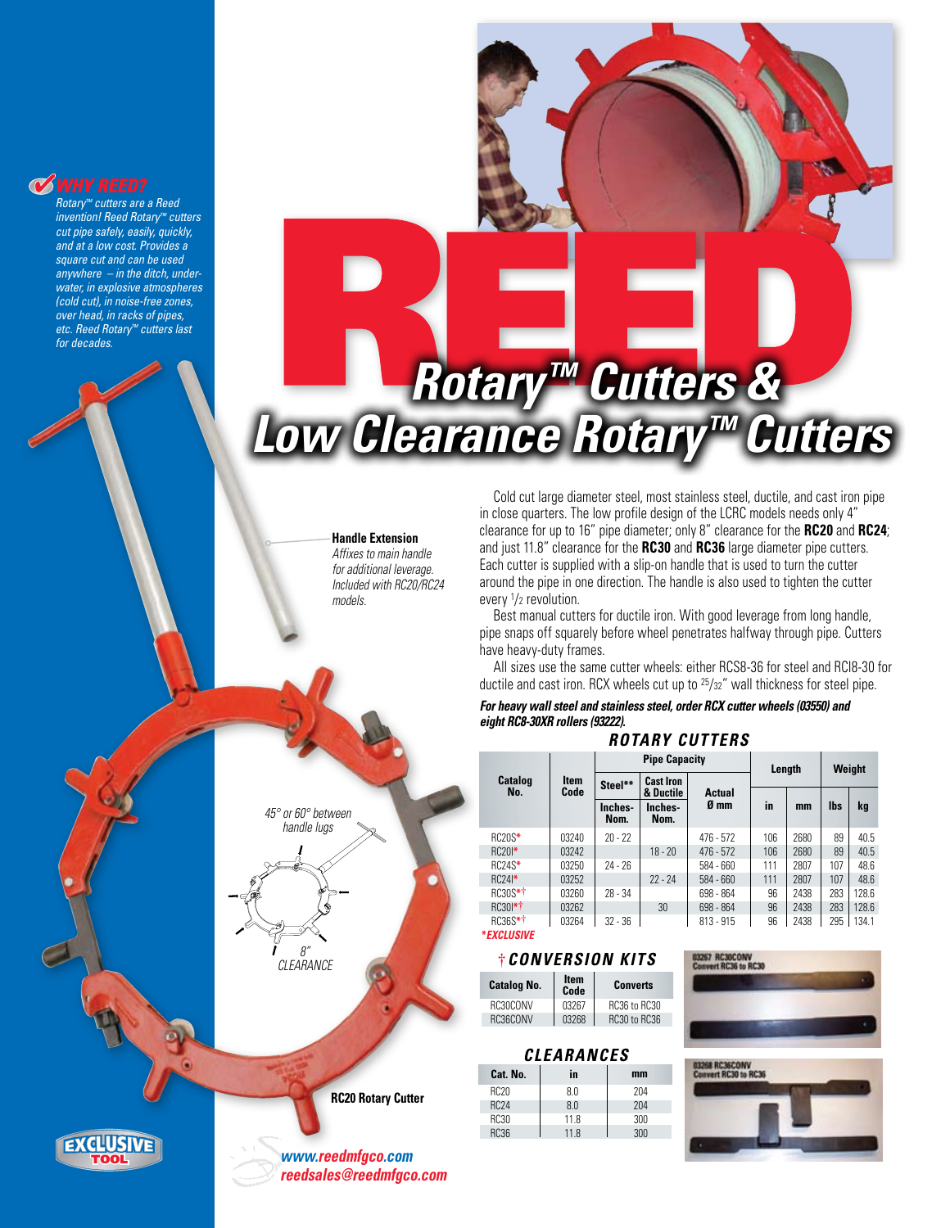## **WHY REED?**

*Rotary™ cutters are a Reed invention! Reed Rotary™ cutters cut pipe safely, easily, quickly, and at a low cost. Provides a square cut and can be used anywhere – in the ditch, underwater, in explosive atmospheres (cold cut), in noise-free zones, over head, in racks of pipes, etc. Reed Rotary™ cutters last for decades.*

TOOL

**EXCLUSIVE** 



**Handle Extension**

*Affixes to main handle for additional leverage. Included with RC20/RC24 models.*



**RC20 Rotary Cutter**

*www.reedmfgco.com reedsales@reedmfgco.com*

Cold cut large diameter steel, most stainless steel, ductile, and cast iron pipe in close quarters. The low profile design of the LCRC models needs only 4" clearance for up to 16" pipe diameter; only 8" clearance for the **RC20** and **RC24**; and just 11.8" clearance for the **RC30** and **RC36** large diameter pipe cutters. Each cutter is supplied with a slip-on handle that is used to turn the cutter around the pipe in one direction. The handle is also used to tighten the cutter every 1/2 revolution.

Best manual cutters for ductile iron. With good leverage from long handle, pipe snaps off squarely before wheel penetrates halfway through pipe. Cutters have heavy-duty frames.

All sizes use the same cutter wheels: either RCS8-36 for steel and RCI8-30 for ductile and cast iron. RCX wheels cut up to 25/32" wall thickness for steel pipe.

#### *For heavy wall steel and stainless steel, order RCX cutter wheels (03550) and eight RC8-30XR rollers (93222). Rotary Cutters*

| RUIART GUIIERJ       |                     |                      |                               |                       |        |      |            |       |
|----------------------|---------------------|----------------------|-------------------------------|-----------------------|--------|------|------------|-------|
|                      | <b>Item</b><br>Code | <b>Pipe Capacity</b> |                               |                       | Length |      | Weight     |       |
| Catalog<br>No.       |                     | Steel**              | <b>Cast Iron</b><br>& Ductile | <b>Actual</b><br>Ø mm |        |      |            |       |
|                      |                     | Inches-<br>Nom.      | Inches-<br>Nom.               |                       | in     | mm   | <b>lbs</b> | kg    |
| <b>RC20S*</b>        | 03240               | $20 - 22$            |                               | $476 - 572$           | 106    | 2680 | 89         | 40.5  |
| $RC201*$             | 03242               |                      | $18 - 20$                     | $476 - 572$           | 106    | 2680 | 89         | 40.5  |
| RC24S*               | 03250               | $24 - 26$            |                               | 584 - 660             | 111    | 2807 | 107        | 48.6  |
| $RC24$ <sup>*</sup>  | 03252               |                      | $22 - 24$                     | 584 - 660             | 111    | 2807 | 107        | 48.6  |
| RC30S*†              | 03260               | $28 - 34$            |                               | 698 - 864             | 96     | 2438 | 283        | 128.6 |
| RC301*†              | 03262               |                      | 30                            | 698 - 864             | 96     | 2438 | 283        | 128.6 |
| RC36S*†              | 03264               | $32 - 36$            |                               | $813 - 915$           | 96     | 2438 | 295        | 134.1 |
| <i>* FXCI IISIVF</i> |                     |                      |                               |                       |        |      |            |       |

#### **†***CONVERSION KITS*

| <b>Catalog No.</b> | <b>Item</b><br>Code | <b>Converts</b> |  |  |  |  |
|--------------------|---------------------|-----------------|--|--|--|--|
| BC30CONV           | 03267               | RC36 to RC30    |  |  |  |  |
| BC36CONV           | 03268               | RC30 to RC36    |  |  |  |  |
|                    |                     |                 |  |  |  |  |

#### *CLEARANCES*

| Cat. No.    | in   | mm  |  |  |  |  |
|-------------|------|-----|--|--|--|--|
| <b>RC20</b> | 80   | 204 |  |  |  |  |
| <b>RC24</b> | 80   | 204 |  |  |  |  |
| <b>RC30</b> | 11.8 | 300 |  |  |  |  |
| <b>RC36</b> | 11.8 | 300 |  |  |  |  |
|             |      |     |  |  |  |  |